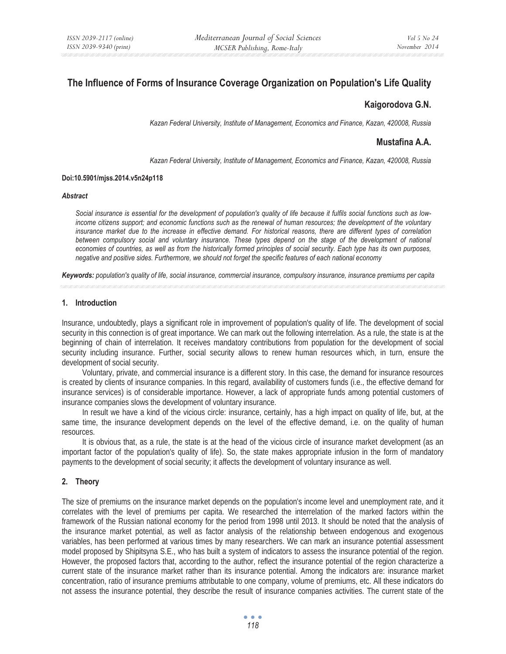# **The Influence of Forms of Insurance Coverage Organization on Population's Life Quality**

## **Kaigorodova G.N.**

*Kazan Federal University, Institute of Management, Economics and Finance, Kazan, 420008, Russia* 

# **Mustafina A.A.**

*Kazan Federal University, Institute of Management, Economics and Finance, Kazan, 420008, Russia* 

#### **Doi:10.5901/mjss.2014.v5n24p118**

#### *Abstract*

*Social insurance is essential for the development of population's quality of life because it fulfils social functions such as lowincome citizens support; and economic functions such as the renewal of human resources; the development of the voluntary insurance market due to the increase in effective demand. For historical reasons, there are different types of correlation*  between compulsory social and voluntary insurance. These types depend on the stage of the development of national economies of countries, as well as from the historically formed principles of social security. Each type has its own purposes, *negative and positive sides. Furthermore, we should not forget the specific features of each national economy* 

*Keywords: population's quality of life, social insurance, commercial insurance, compulsory insurance, insurance premiums per capita* 

### **1. Introduction**

Insurance, undoubtedly, plays a significant role in improvement of population's quality of life. The development of social security in this connection is of great importance. We can mark out the following interrelation. As a rule, the state is at the beginning of chain of interrelation. It receives mandatory contributions from population for the development of social security including insurance. Further, social security allows to renew human resources which, in turn, ensure the development of social security.

Voluntary, private, and commercial insurance is a different story. In this case, the demand for insurance resources is created by clients of insurance companies. In this regard, availability of customers funds (i.e., the effective demand for insurance services) is of considerable importance. However, a lack of appropriate funds among potential customers of insurance companies slows the development of voluntary insurance.

In result we have a kind of the vicious circle: insurance, certainly, has a high impact on quality of life, but, at the same time, the insurance development depends on the level of the effective demand, i.e. on the quality of human resources.

It is obvious that, as a rule, the state is at the head of the vicious circle of insurance market development (as an important factor of the population's quality of life). So, the state makes appropriate infusion in the form of mandatory payments to the development of social security; it affects the development of voluntary insurance as well.

## **2. Theory**

The size of premiums on the insurance market depends on the population's income level and unemployment rate, and it correlates with the level of premiums per capita. We researched the interrelation of the marked factors within the framework of the Russian national economy for the period from 1998 until 2013. It should be noted that the analysis of the insurance market potential, as well as factor analysis of the relationship between endogenous and exogenous variables, has been performed at various times by many researchers. We can mark an insurance potential assessment model proposed by Shipitsyna S.E., who has built a system of indicators to assess the insurance potential of the region. However, the proposed factors that, according to the author, reflect the insurance potential of the region characterize a current state of the insurance market rather than its insurance potential. Among the indicators are: insurance market concentration, ratio of insurance premiums attributable to one company, volume of premiums, etc. All these indicators do not assess the insurance potential, they describe the result of insurance companies activities. The current state of the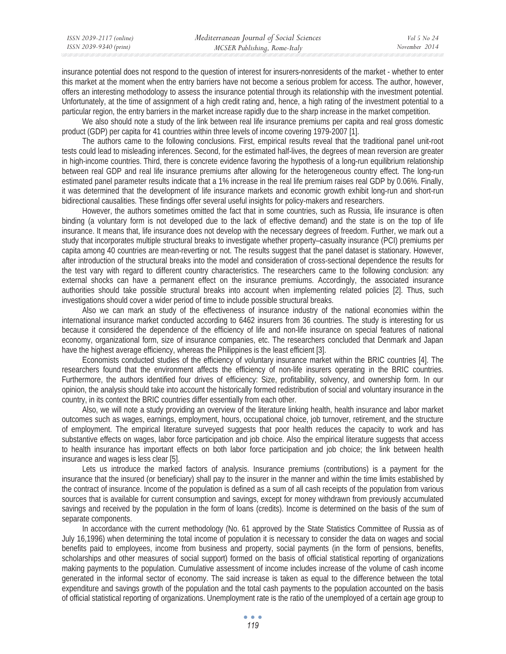insurance potential does not respond to the question of interest for insurers-nonresidents of the market - whether to enter this market at the moment when the entry barriers have not become a serious problem for access. The author, however, offers an interesting methodology to assess the insurance potential through its relationship with the investment potential. Unfortunately, at the time of assignment of a high credit rating and, hence, a high rating of the investment potential to a particular region, the entry barriers in the market increase rapidly due to the sharp increase in the market competition.

We also should note a study of the link between real life insurance premiums per capita and real gross domestic product (GDP) per capita for 41 countries within three levels of income covering 1979-2007 [1].

The authors came to the following conclusions. First, empirical results reveal that the traditional panel unit-root tests could lead to misleading inferences. Second, for the estimated half-lives, the degrees of mean reversion are greater in high-income countries. Third, there is concrete evidence favoring the hypothesis of a long-run equilibrium relationship between real GDP and real life insurance premiums after allowing for the heterogeneous country effect. The long-run estimated panel parameter results indicate that a 1% increase in the real life premium raises real GDP by 0.06%. Finally, it was determined that the development of life insurance markets and economic growth exhibit long-run and short-run bidirectional causalities. These findings offer several useful insights for policy-makers and researchers.

However, the authors sometimes omitted the fact that in some countries, such as Russia, life insurance is often binding (a voluntary form is not developed due to the lack of effective demand) and the state is on the top of life insurance. It means that, life insurance does not develop with the necessary degrees of freedom. Further, we mark out a study that incorporates multiple structural breaks to investigate whether property–casualty insurance (PCI) premiums per capita among 40 countries are mean-reverting or not. The results suggest that the panel dataset is stationary. However, after introduction of the structural breaks into the model and consideration of cross-sectional dependence the results for the test vary with regard to different country characteristics. The researchers came to the following conclusion: any external shocks can have a permanent effect on the insurance premiums. Accordingly, the associated insurance authorities should take possible structural breaks into account when implementing related policies [2]. Thus, such investigations should cover a wider period of time to include possible structural breaks.

Also we can mark an study of the effectiveness of insurance industry of the national economies within the international insurance market conducted according to 6462 insurers from 36 countries. The study is interesting for us because it considered the dependence of the efficiency of life and non-life insurance on special features of national economy, organizational form, size of insurance companies, etc. The researchers concluded that Denmark and Japan have the highest average efficiency, whereas the Philippines is the least efficient [3].

Economists conducted studies of the efficiency of voluntary insurance market within the BRIC countries [4]. The researchers found that the environment affects the efficiency of non-life insurers operating in the BRIC countries. Furthermore, the authors identified four drives of efficiency: Size, profitability, solvency, and ownership form. In our opinion, the analysis should take into account the historically formed redistribution of social and voluntary insurance in the country, in its context the BRIC countries differ essentially from each other.

Also, we will note a study providing an overview of the literature linking health, health insurance and labor market outcomes such as wages, earnings, employment, hours, occupational choice, job turnover, retirement, and the structure of employment. The empirical literature surveyed suggests that poor health reduces the capacity to work and has substantive effects on wages, labor force participation and job choice. Also the empirical literature suggests that access to health insurance has important effects on both labor force participation and job choice; the link between health insurance and wages is less clear [5].

Lets us introduce the marked factors of analysis. Insurance premiums (contributions) is a payment for the insurance that the insured (or beneficiary) shall pay to the insurer in the manner and within the time limits established by the contract of insurance. Income of the population is defined as a sum of all cash receipts of the population from various sources that is available for current consumption and savings, except for money withdrawn from previously accumulated savings and received by the population in the form of loans (credits). Income is determined on the basis of the sum of separate components.

In accordance with the current methodology (No. 61 approved by the State Statistics Committee of Russia as of July 16,1996) when determining the total income of population it is necessary to consider the data on wages and social benefits paid to employees, income from business and property, social payments (in the form of pensions, benefits, scholarships and other measures of social support) formed on the basis of official statistical reporting of organizations making payments to the population. Cumulative assessment of income includes increase of the volume of cash income generated in the informal sector of economy. The said increase is taken as equal to the difference between the total expenditure and savings growth of the population and the total cash payments to the population accounted on the basis of official statistical reporting of organizations. Unemployment rate is the ratio of the unemployed of a certain age group to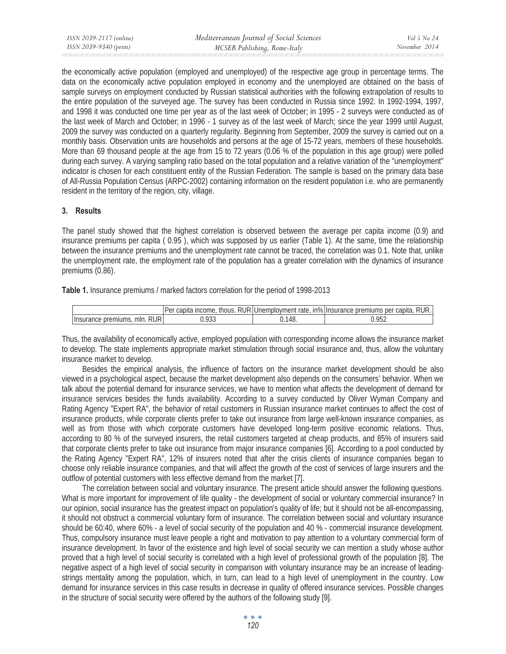the economically active population (employed and unemployed) of the respective age group in percentage terms. The data on the economically active population employed in economy and the unemployed are obtained on the basis of sample surveys on employment conducted by Russian statistical authorities with the following extrapolation of results to the entire population of the surveyed age. The survey has been conducted in Russia since 1992. In 1992-1994, 1997, and 1998 it was conducted one time per year as of the last week of October; in 1995 - 2 surveys were conducted as of the last week of March and October; in 1996 - 1 survey as of the last week of March; since the year 1999 until August, 2009 the survey was conducted on a quarterly regularity. Beginning from September, 2009 the survey is carried out on a monthly basis. Observation units are households and persons at the age of 15-72 years, members of these households. More than 69 thousand people at the age from 15 to 72 years (0.06 % of the population in this age group) were polled during each survey. A varying sampling ratio based on the total population and a relative variation of the "unemployment" indicator is chosen for each constituent entity of the Russian Federation. The sample is based on the primary data base of All-Russia Population Census (ARPC-2002) containing information on the resident population i.e. who are permanently resident in the territory of the region, city, village.

## **3. Results**

The panel study showed that the highest correlation is observed between the average per capita income (0.9) and insurance premiums per capita ( 0.95 ), which was supposed by us earlier (Table 1). At the same, time the relationship between the insurance premiums and the unemployment rate cannot be traced, the correlation was 0.1. Note that, unlike the unemployment rate, the employment rate of the population has a greater correlation with the dynamics of insurance premiums (0.86).

**Table 1.** Insurance premiums / marked factors correlation for the period of 1998-2013

|                                                                  | <b>RIIR</b><br>ıcome<br>thous<br>. Der<br>v | $in\%$<br>rate<br>Unemployment | חות<br>capita<br><b>Ilnsurance</b><br>per<br>nıur<br>ner<br>≺∪ĸ |
|------------------------------------------------------------------|---------------------------------------------|--------------------------------|-----------------------------------------------------------------|
| mln. RURI<br><b>Ilnsur</b><br>nıur<br>- 10<br>''ance<br><br>11.3 | $\cap$<br>ں ل\                              | 148.                           | 052<br>ے ں ہ                                                    |

Thus, the availability of economically active, employed population with corresponding income allows the insurance market to develop. The state implements appropriate market stimulation through social insurance and, thus, allow the voluntary insurance market to develop.

Besides the empirical analysis, the influence of factors on the insurance market development should be also viewed in a psychological aspect, because the market development also depends on the consumers' behavior. When we talk about the potential demand for insurance services, we have to mention what affects the development of demand for insurance services besides the funds availability. According to a survey conducted by Oliver Wyman Company and Rating Agency "Expert RA", the behavior of retail customers in Russian insurance market continues to affect the cost of insurance products, while corporate clients prefer to take out insurance from large well-known insurance companies, as well as from those with which corporate customers have developed long-term positive economic relations. Thus, according to 80 % of the surveyed insurers, the retail customers targeted at cheap products, and 85% of insurers said that corporate clients prefer to take out insurance from major insurance companies [6]. According to a pool conducted by the Rating Agency "Expert RA", 12% of insurers noted that after the crisis clients of insurance companies began to choose only reliable insurance companies, and that will affect the growth of the cost of services of large insurers and the outflow of potential customers with less effective demand from the market [7].

The correlation between social and voluntary insurance. The present article should answer the following questions. What is more important for improvement of life quality - the development of social or voluntary commercial insurance? In our opinion, social insurance has the greatest impact on population's quality of life; but it should not be all-encompassing, it should not obstruct a commercial voluntary form of insurance. The correlation between social and voluntary insurance should be 60:40, where 60% - a level of social security of the population and 40 % - commercial insurance development. Thus, compulsory insurance must leave people a right and motivation to pay attention to a voluntary commercial form of insurance development. In favor of the existence and high level of social security we can mention a study whose author proved that a high level of social security is correlated with a high level of professional growth of the population [8]. The negative aspect of a high level of social security in comparison with voluntary insurance may be an increase of leadingstrings mentality among the population, which, in turn, can lead to a high level of unemployment in the country. Low demand for insurance services in this case results in decrease in quality of offered insurance services. Possible changes in the structure of social security were offered by the authors of the following study [9].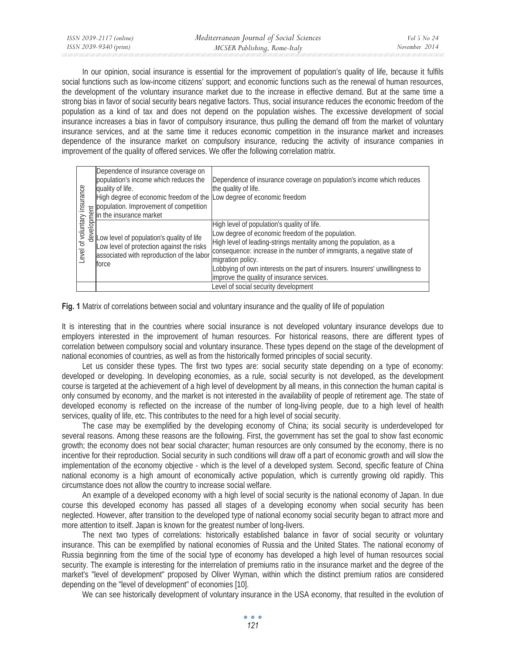In our opinion, social insurance is essential for the improvement of population's quality of life, because it fulfils social functions such as low-income citizens' support; and economic functions such as the renewal of human resources, the development of the voluntary insurance market due to the increase in effective demand. But at the same time a strong bias in favor of social security bears negative factors. Thus, social insurance reduces the economic freedom of the population as a kind of tax and does not depend on the population wishes. The excessive development of social insurance increases a bias in favor of compulsory insurance, thus pulling the demand off from the market of voluntary insurance services, and at the same time it reduces economic competition in the insurance market and increases dependence of the insurance market on compulsory insurance, reducing the activity of insurance companies in improvement of the quality of offered services. We offer the following correlation matrix.

| evel of voluntary insurance | Dependence of insurance coverage on<br>population's income which reduces the<br>quality of life.<br>High degree of economic freedom of the Low degree of economic freedom | Dependence of insurance coverage on population's income which reduces<br>the quality of life.                                                                                                                                                                                                                                                                                                        |
|-----------------------------|---------------------------------------------------------------------------------------------------------------------------------------------------------------------------|------------------------------------------------------------------------------------------------------------------------------------------------------------------------------------------------------------------------------------------------------------------------------------------------------------------------------------------------------------------------------------------------------|
|                             | Low level of protection against the risks<br>associated with reproduction of the labor<br>torce                                                                           | High level of population's quality of life.<br>Low degree of economic freedom of the population.<br>High level of leading-strings mentality among the population, as a<br>consequence: increase in the number of immigrants, a negative state of<br>migration policy.<br>Lobbying of own interests on the part of insurers. Insurers' unwillingness to<br>improve the quality of insurance services. |
|                             |                                                                                                                                                                           | Level of social security development                                                                                                                                                                                                                                                                                                                                                                 |

**Fig. 1** Matrix of correlations between social and voluntary insurance and the quality of life of population

It is interesting that in the countries where social insurance is not developed voluntary insurance develops due to employers interested in the improvement of human resources. For historical reasons, there are different types of correlation between compulsory social and voluntary insurance. These types depend on the stage of the development of national economies of countries, as well as from the historically formed principles of social security.

Let us consider these types. The first two types are: social security state depending on a type of economy: developed or developing. In developing economies, as a rule, social security is not developed, as the development course is targeted at the achievement of a high level of development by all means, in this connection the human capital is only consumed by economy, and the market is not interested in the availability of people of retirement age. The state of developed economy is reflected on the increase of the number of long-living people, due to a high level of health services, quality of life, etc. This contributes to the need for a high level of social security.

The case may be exemplified by the developing economy of China; its social security is underdeveloped for several reasons. Among these reasons are the following. First, the government has set the goal to show fast economic growth; the economy does not bear social character; human resources are only consumed by the economy, there is no incentive for their reproduction. Social security in such conditions will draw off a part of economic growth and will slow the implementation of the economy objective - which is the level of a developed system. Second, specific feature of China national economy is a high amount of economically active population, which is currently growing old rapidly. This circumstance does not allow the country to increase social welfare.

An example of a developed economy with a high level of social security is the national economy of Japan. In due course this developed economy has passed all stages of a developing economy when social security has been neglected. However, after transition to the developed type of national economy social security began to attract more and more attention to itself. Japan is known for the greatest number of long-livers.

The next two types of correlations: historically established balance in favor of social security or voluntary insurance. This can be exemplified by national economies of Russia and the United States. The national economy of Russia beginning from the time of the social type of economy has developed a high level of human resources social security. The example is interesting for the interrelation of premiums ratio in the insurance market and the degree of the market's "level of development" proposed by Oliver Wyman, within which the distinct premium ratios are considered depending on the "level of development" of economies [10].

We can see historically development of voluntary insurance in the USA economy, that resulted in the evolution of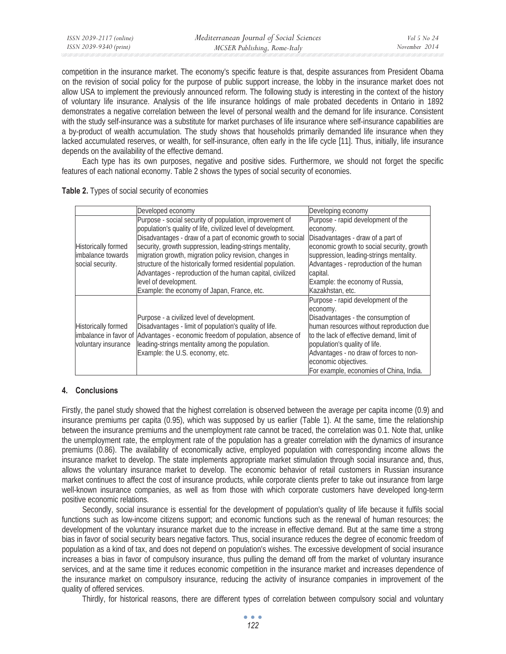competition in the insurance market. The economy's specific feature is that, despite assurances from President Obama on the revision of social policy for the purpose of public support increase, the lobby in the insurance market does not allow USA to implement the previously announced reform. The following study is interesting in the context of the history of voluntary life insurance. Analysis of the life insurance holdings of male probated decedents in Ontario in 1892 demonstrates a negative correlation between the level of personal wealth and the demand for life insurance. Consistent with the study self-insurance was a substitute for market purchases of life insurance where self-insurance capabilities are a by-product of wealth accumulation. The study shows that households primarily demanded life insurance when they lacked accumulated reserves, or wealth, for self-insurance, often early in the life cycle [11]. Thus, initially, life insurance depends on the availability of the effective demand.

Each type has its own purposes, negative and positive sides. Furthermore, we should not forget the specific features of each national economy. Table 2 shows the types of social security of economies.

|                            | Developed economy                                                             | Developing economy                         |
|----------------------------|-------------------------------------------------------------------------------|--------------------------------------------|
|                            | Purpose - social security of population, improvement of                       | Purpose - rapid development of the         |
|                            | population's quality of life, civilized level of development.                 | economy.                                   |
|                            | Disadvantages - draw of a part of economic growth to social                   | Disadvantages - draw of a part of          |
| <b>Historically formed</b> | security, growth suppression, leading-strings mentality,                      | economic growth to social security, growth |
| imbalance towards          | migration growth, migration policy revision, changes in                       | suppression, leading-strings mentality.    |
| social security.           | structure of the historically formed residential population.                  | Advantages - reproduction of the human     |
|                            | Advantages - reproduction of the human capital, civilized                     | capital.                                   |
|                            | level of development.                                                         | Example: the economy of Russia,            |
|                            | Example: the economy of Japan, France, etc.                                   | Kazakhstan, etc.                           |
|                            |                                                                               | Purpose - rapid development of the         |
|                            |                                                                               | economy.                                   |
|                            | Purpose - a civilized level of development.                                   | Disadvantages - the consumption of         |
| <b>Historically formed</b> | Disadvantages - limit of population's quality of life.                        | human resources without reproduction due   |
|                            | imbalance in favor of Advantages - economic freedom of population, absence of | to the lack of effective demand, limit of  |
| voluntary insurance        | leading-strings mentality among the population.                               | population's quality of life.              |
|                            | Example: the U.S. economy, etc.                                               | Advantages - no draw of forces to non-     |
|                            |                                                                               | economic objectives.                       |
|                            |                                                                               | For example, economies of China, India.    |

**Table 2.** Types of social security of economies

## **4. Conclusions**

Firstly, the panel study showed that the highest correlation is observed between the average per capita income (0.9) and insurance premiums per capita (0.95), which was supposed by us earlier (Table 1). At the same, time the relationship between the insurance premiums and the unemployment rate cannot be traced, the correlation was 0.1. Note that, unlike the unemployment rate, the employment rate of the population has a greater correlation with the dynamics of insurance premiums (0.86). The availability of economically active, employed population with corresponding income allows the insurance market to develop. The state implements appropriate market stimulation through social insurance and, thus, allows the voluntary insurance market to develop. The economic behavior of retail customers in Russian insurance market continues to affect the cost of insurance products, while corporate clients prefer to take out insurance from large well-known insurance companies, as well as from those with which corporate customers have developed long-term positive economic relations.

Secondly, social insurance is essential for the development of population's quality of life because it fulfils social functions such as low-income citizens support; and economic functions such as the renewal of human resources; the development of the voluntary insurance market due to the increase in effective demand. But at the same time a strong bias in favor of social security bears negative factors. Thus, social insurance reduces the degree of economic freedom of population as a kind of tax, and does not depend on population's wishes. The excessive development of social insurance increases a bias in favor of compulsory insurance, thus pulling the demand off from the market of voluntary insurance services, and at the same time it reduces economic competition in the insurance market and increases dependence of the insurance market on compulsory insurance, reducing the activity of insurance companies in improvement of the quality of offered services.

Thirdly, for historical reasons, there are different types of correlation between compulsory social and voluntary